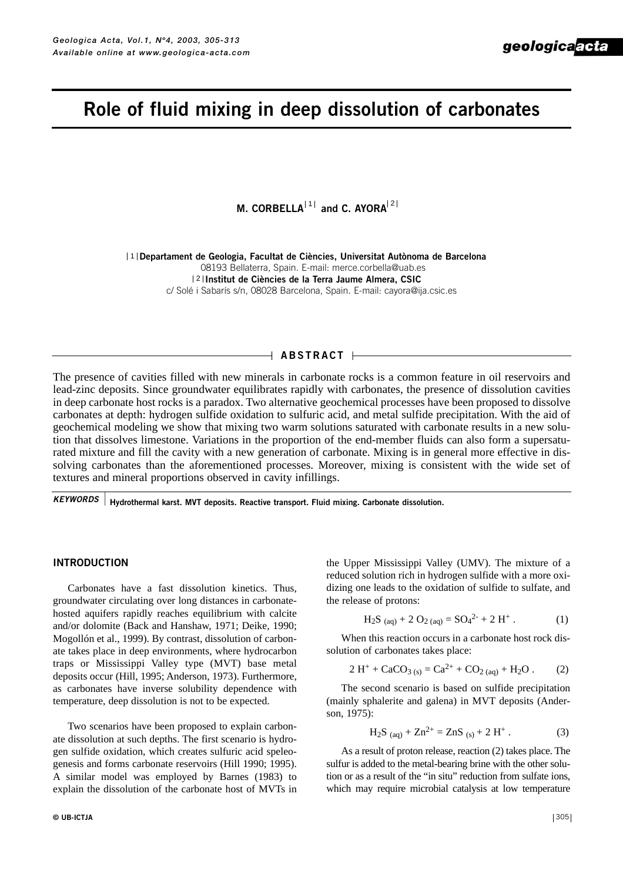# **Role of fluid mixing in deep dissolution of carbonates**

**M. CORBELLA**<sup>[1]</sup> and C. AYORA<sup>[2</sup>

**Departament de Geologia, Facultat de Ciències, Universitat Autònoma de Barcelona** 108193 Bellaterra, Spain. E-mail: merce.corbella@uab.es **Institut de Ciències de la Terra Jaume Almera, CSIC** 2 c/ Solé i Sabarís s/n, 08028 Barcelona, Spain. E-mail: cayora@ija.csic.es

## **ABSTRACT**

The presence of cavities filled with new minerals in carbonate rocks is a common feature in oil reservoirs and lead-zinc deposits. Since groundwater equilibrates rapidly with carbonates, the presence of dissolution cavities in deep carbonate host rocks is a paradox. Two alternative geochemical processes have been proposed to dissolve carbonates at depth: hydrogen sulfide oxidation to sulfuric acid, and metal sulfide precipitation. With the aid of geochemical modeling we show that mixing two warm solutions saturated with carbonate results in a new solution that dissolves limestone. Variations in the proportion of the end-member fluids can also form a supersaturated mixture and fill the cavity with a new generation of carbonate. Mixing is in general more effective in dissolving carbonates than the aforementioned processes. Moreover, mixing is consistent with the wide set of textures and mineral proportions observed in cavity infillings.

**Hydrothermal karst. MVT deposits. Reactive transport. Fluid mixing. Carbonate dissolution.** *KEYWORDS*

## **INTRODUCTION**

Carbonates have a fast dissolution kinetics. Thus, groundwater circulating over long distances in carbonatehosted aquifers rapidly reaches equilibrium with calcite and/or dolomite (Back and Hanshaw, 1971; Deike, 1990; Mogollón et al., 1999). By contrast, dissolution of carbonate takes place in deep environments, where hydrocarbon traps or Mississippi Valley type (MVT) base metal deposits occur (Hill, 1995; Anderson, 1973). Furthermore, as carbonates have inverse solubility dependence with temperature, deep dissolution is not to be expected.

Two scenarios have been proposed to explain carbonate dissolution at such depths. The first scenario is hydrogen sulfide oxidation, which creates sulfuric acid speleogenesis and forms carbonate reservoirs (Hill 1990; 1995). A similar model was employed by Barnes (1983) to explain the dissolution of the carbonate host of MVTs in the Upper Mississippi Valley (UMV). The mixture of a reduced solution rich in hydrogen sulfide with a more oxidizing one leads to the oxidation of sulfide to sulfate, and the release of protons:

$$
H_2S_{(aq)} + 2 O_{2(aq)} = SO_4^{2-} + 2 H^+.
$$
 (1)

When this reaction occurs in a carbonate host rock dissolution of carbonates takes place:

$$
2 H^{+} + CaCO_{3 (s)} = Ca^{2+} + CO_{2 (aq)} + H_{2}O .
$$
 (2)

The second scenario is based on sulfide precipitation (mainly sphalerite and galena) in MVT deposits (Anderson, 1975):

H<sub>2</sub>S 
$$
(aq) + Zn^{2+} = ZnS
$$
 (s) + 2 H<sup>+</sup>. (3)

As a result of proton release, reaction (2) takes place. The sulfur is added to the metal-bearing brine with the other solution or as a result of the "in situ" reduction from sulfate ions, which may require microbial catalysis at low temperature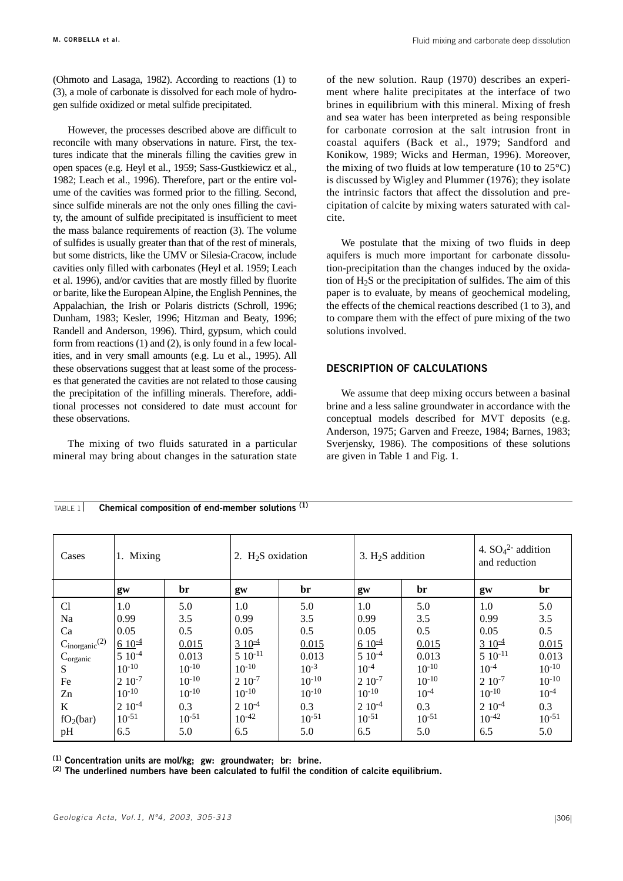(Ohmoto and Lasaga, 1982). According to reactions (1) to (3), a mole of carbonate is dissolved for each mole of hydrogen sulfide oxidized or metal sulfide precipitated.

However, the processes described above are difficult to reconcile with many observations in nature. First, the textures indicate that the minerals filling the cavities grew in open spaces (e.g. Heyl et al., 1959; Sass-Gustkiewicz et al., 1982; Leach et al., 1996). Therefore, part or the entire volume of the cavities was formed prior to the filling. Second, since sulfide minerals are not the only ones filling the cavity, the amount of sulfide precipitated is insufficient to meet the mass balance requirements of reaction (3). The volume of sulfides is usually greater than that of the rest of minerals, but some districts, like the UMV or Silesia-Cracow, include cavities only filled with carbonates (Heyl et al. 1959; Leach et al. 1996), and/or cavities that are mostly filled by fluorite or barite, like the European Alpine, the English Pennines, the Appalachian, the Irish or Polaris districts (Schroll, 1996; Dunham, 1983; Kesler, 1996; Hitzman and Beaty, 1996; Randell and Anderson, 1996). Third, gypsum, which could form from reactions (1) and (2), is only found in a few localities, and in very small amounts (e.g. Lu et al., 1995). All these observations suggest that at least some of the processes that generated the cavities are not related to those causing the precipitation of the infilling minerals. Therefore, additional processes not considered to date must account for these observations.

The mixing of two fluids saturated in a particular mineral may bring about changes in the saturation state of the new solution. Raup (1970) describes an experiment where halite precipitates at the interface of two brines in equilibrium with this mineral. Mixing of fresh and sea water has been interpreted as being responsible for carbonate corrosion at the salt intrusion front in coastal aquifers (Back et al., 1979; Sandford and Konikow, 1989; Wicks and Herman, 1996). Moreover, the mixing of two fluids at low temperature (10 to  $25^{\circ}$ C) is discussed by Wigley and Plummer (1976); they isolate the intrinsic factors that affect the dissolution and precipitation of calcite by mixing waters saturated with calcite.

We postulate that the mixing of two fluids in deep aquifers is much more important for carbonate dissolution-precipitation than the changes induced by the oxidation of  $H_2S$  or the precipitation of sulfides. The aim of this paper is to evaluate, by means of geochemical modeling, the effects of the chemical reactions described (1 to 3), and to compare them with the effect of pure mixing of the two solutions involved.

# **DESCRIPTION OF CALCULATIONS**

We assume that deep mixing occurs between a basinal brine and a less saline groundwater in accordance with the conceptual models described for MVT deposits (e.g. Anderson, 1975; Garven and Freeze, 1984; Barnes, 1983; Sverjensky, 1986). The compositions of these solutions are given in Table 1 and Fig. 1.

| Cases                          | 1. Mixing   |            | 2. $H_2S$ oxidation   |            | 3. $H2S$ addition |            | 4. $SO_4^2$ addition<br>and reduction |            |
|--------------------------------|-------------|------------|-----------------------|------------|-------------------|------------|---------------------------------------|------------|
|                                | gw          | br         | gw                    | br         | gw                | br         | gw                                    | br         |
| Cl                             | 1.0         | 5.0        | 1.0                   | 5.0        | 1.0               | 5.0        | 1.0                                   | 5.0        |
| Na                             | 0.99        | 3.5        | 0.99                  | 3.5        | 0.99              | 3.5        | 0.99                                  | 3.5        |
| Ca                             | 0.05        | 0.5        | 0.05                  | 0.5        | 0.05              | 0.5        | 0.05                                  | 0.5        |
| $C_{inorganic}$ <sup>(2)</sup> | $6.10^{-4}$ | 0.015      | $3 \frac{10^{-4}}{2}$ | 0.015      | $6.10^{-4}$       | 0.015      | $310^{-4}$                            | 0.015      |
| $C_{organic}$                  | $510^{-4}$  | 0.013      | $510^{-11}$           | 0.013      | $510^{-4}$        | 0.013      | $510^{-11}$                           | 0.013      |
| S                              | $10^{-10}$  | $10^{-10}$ | $10^{-10}$            | $10^{-3}$  | $10^{-4}$         | $10^{-10}$ | $10^{-4}$                             | $10^{-10}$ |
| Fe                             | $210^{-7}$  | $10^{-10}$ | $210^{-7}$            | $10^{-10}$ | $210^{-7}$        | $10^{-10}$ | $210^{-7}$                            | $10^{-10}$ |
| Zn                             | $10^{-10}$  | $10^{-10}$ | $10^{-10}$            | $10^{-10}$ | $10^{-10}$        | $10^{-4}$  | $10^{-10}$                            | $10^{-4}$  |
| K                              | $210^{-4}$  | 0.3        | $210^{-4}$            | 0.3        | $210^{-4}$        | 0.3        | $210^{-4}$                            | 0.3        |
| $fO_2(bar)$                    | $10^{-51}$  | $10^{-51}$ | $10^{-42}$            | $10^{-51}$ | $10^{-51}$        | $10^{-51}$ | $10^{-42}$                            | $10^{-51}$ |
| pH                             | 6.5         | 5.0        | 6.5                   | 5.0        | 6.5               | 5.0        | 6.5                                   | 5.0        |

TABLE 1 **Chemical composition of end-member solutions** <sup>(1)</sup>

**(1) Concentration units are mol/kg; gw: groundwater; br: brine.**

**(2) The underlined numbers have been calculated to fulfil the condition of calcite equilibrium.**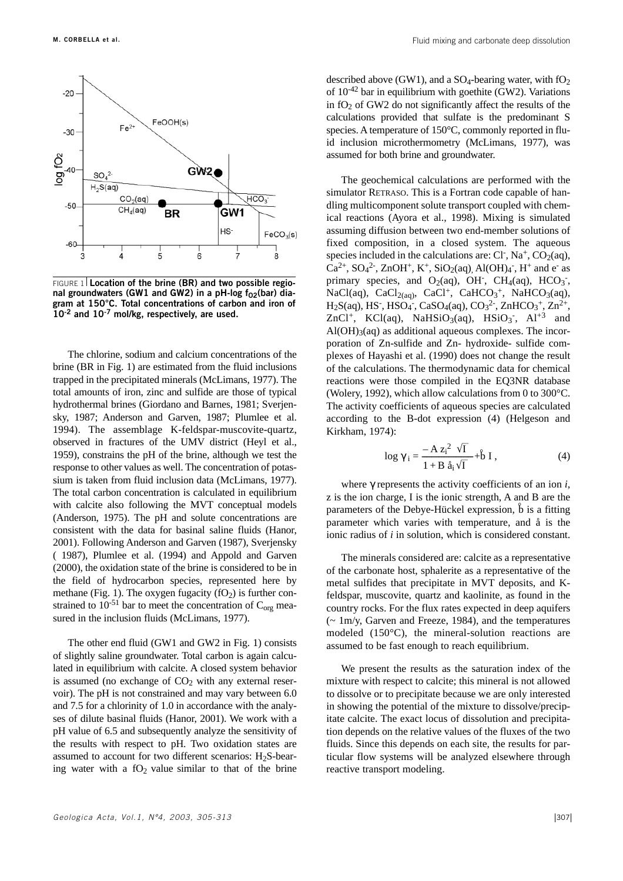

FIGURE 1 **Location of the brine (BR) and two possible regio**nal groundwaters (GW1 and GW2) in a pH-log f<sub>02</sub>(bar) dia**gram at 150°C. Total concentrations of carbon and iron of 10-2 and 10-7 mol/kg, respectively, are used.**

The chlorine, sodium and calcium concentrations of the brine (BR in Fig. 1) are estimated from the fluid inclusions trapped in the precipitated minerals (McLimans, 1977). The total amounts of iron, zinc and sulfide are those of typical hydrothermal brines (Giordano and Barnes, 1981; Sverjensky, 1987; Anderson and Garven, 1987; Plumlee et al. 1994). The assemblage K-feldspar-muscovite-quartz, observed in fractures of the UMV district (Heyl et al., 1959), constrains the pH of the brine, although we test the response to other values as well. The concentration of potassium is taken from fluid inclusion data (McLimans, 1977). The total carbon concentration is calculated in equilibrium with calcite also following the MVT conceptual models (Anderson, 1975). The pH and solute concentrations are consistent with the data for basinal saline fluids (Hanor, 2001). Following Anderson and Garven (1987), Sverjensky ( 1987), Plumlee et al. (1994) and Appold and Garven (2000), the oxidation state of the brine is considered to be in the field of hydrocarbon species, represented here by methane (Fig. 1). The oxygen fugacity  $(fO<sub>2</sub>)$  is further constrained to  $10^{-51}$  bar to meet the concentration of  $C_{org}$  measured in the inclusion fluids (McLimans, 1977).

The other end fluid (GW1 and GW2 in Fig. 1) consists of slightly saline groundwater. Total carbon is again calculated in equilibrium with calcite. A closed system behavior is assumed (no exchange of  $CO<sub>2</sub>$  with any external reservoir). The pH is not constrained and may vary between 6.0 and 7.5 for a chlorinity of 1.0 in accordance with the analyses of dilute basinal fluids (Hanor, 2001). We work with a pH value of 6.5 and subsequently analyze the sensitivity of the results with respect to pH. Two oxidation states are assumed to account for two different scenarios:  $H_2S$ -bearing water with a  $fO<sub>2</sub>$  value similar to that of the brine described above (GW1), and a  $SO_4$ -bearing water, with  $fO_2$ of  $10^{-42}$  bar in equilibrium with goethite (GW2). Variations in  $fO<sub>2</sub>$  of GW2 do not significantly affect the results of the calculations provided that sulfate is the predominant S species. A temperature of 150°C, commonly reported in fluid inclusion microthermometry (McLimans, 1977), was assumed for both brine and groundwater.

The geochemical calculations are performed with the simulator RETRASO. This is a Fortran code capable of handling multicomponent solute transport coupled with chemical reactions (Ayora et al., 1998). Mixing is simulated assuming diffusion between two end-member solutions of fixed composition, in a closed system. The aqueous species included in the calculations are: Cl<sup>-</sup>, Na<sup>+</sup>, CO<sub>2</sub>(aq),  $Ca^{2+}$ ,  $SO_4{}^2$ ,  $ZnOH^+$ ,  $K^+$ ,  $SiO_2(aq)$ ,  $Al(OH)_4$ ,  $H^+$  and e<sup>-</sup> as primary species, and  $O_2(aq)$ , OH<sup>-</sup>, CH<sub>4</sub>(aq), HCO<sub>3</sub><sup>-</sup>, NaCl(aq), CaCl<sub>2(aq)</sub>, CaCl<sup>+</sup>, CaHCO<sub>3</sub><sup>+</sup>, NaHCO<sub>3</sub>(aq),  $H_2S(aq)$ , HS<sup>-</sup>, HSO<sub>4</sub><sup>-</sup>, CaSO<sub>4</sub>(aq), CO<sub>3</sub><sup>2</sup><sup>-</sup>, ZnHCO<sub>3</sub><sup>+</sup>, Zn<sup>2+</sup>, ZnCl<sup>+</sup>, KCl(aq), NaHSiO<sub>3</sub>(aq), HSiO<sub>3</sub><sup>-</sup>, Al<sup>+3</sup> and  $Al(OH)<sub>3</sub>(aq)$  as additional aqueous complexes. The incorporation of Zn-sulfide and Zn- hydroxide- sulfide complexes of Hayashi et al. (1990) does not change the result of the calculations. The thermodynamic data for chemical reactions were those compiled in the EQ3NR database (Wolery, 1992), which allow calculations from 0 to 300°C. The activity coefficients of aqueous species are calculated according to the B-dot expression (4) (Helgeson and Kirkham, 1974):

$$
\log \gamma_{\rm i} = \frac{-\mathbf{A} z_{\rm i}^2 \sqrt{\mathbf{I}}}{1 + \mathbf{B} \hat{a}_{\rm i} \sqrt{\mathbf{I}}} + \hat{\mathbf{b}} \mathbf{I} \,, \tag{4}
$$

where γ represents the activity coefficients of an ion *i*, z is the ion charge, I is the ionic strength, A and B are the parameters of the Debye-Hückel expression,  $\overset{\circ}{b}$  is a fitting parameter which varies with temperature, and å is the ionic radius of *i* in solution, which is considered constant.

The minerals considered are: calcite as a representative of the carbonate host, sphalerite as a representative of the metal sulfides that precipitate in MVT deposits, and Kfeldspar, muscovite, quartz and kaolinite, as found in the country rocks. For the flux rates expected in deep aquifers (~ 1m/y, Garven and Freeze, 1984), and the temperatures modeled (150°C), the mineral-solution reactions are assumed to be fast enough to reach equilibrium.

We present the results as the saturation index of the mixture with respect to calcite; this mineral is not allowed to dissolve or to precipitate because we are only interested in showing the potential of the mixture to dissolve/precipitate calcite. The exact locus of dissolution and precipitation depends on the relative values of the fluxes of the two fluids. Since this depends on each site, the results for particular flow systems will be analyzed elsewhere through reactive transport modeling.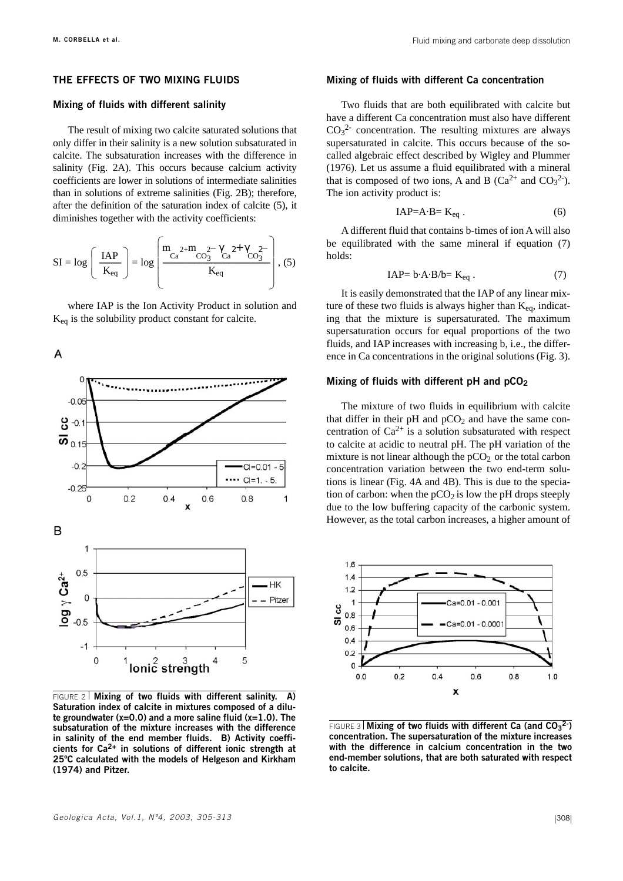## **THE EFFECTS OF TWO MIXING FLUIDS**

## **Mixing of fluids with different salinity**

The result of mixing two calcite saturated solutions that only differ in their salinity is a new solution subsaturated in calcite. The subsaturation increases with the difference in salinity (Fig. 2A). This occurs because calcium activity coefficients are lower in solutions of intermediate salinities than in solutions of extreme salinities (Fig. 2B); therefore, after the definition of the saturation index of calcite (5), it diminishes together with the activity coefficients:

$$
SI = \log \left( \frac{IAP}{K_{eq}} \right) = \log \left( \frac{m_{Ca}^{2+}m_{CO_3^{2-}}\gamma_{Ca}^{2+}\gamma_{CO_3^{2-}}}{K_{eq}} \right), (5)
$$

where IAP is the Ion Activity Product in solution and  $K_{eq}$  is the solubility product constant for calcite.

A



FIGURE 2 **Mixing of two fluids with different salinity. A) Saturation index of calcite in mixtures composed of a dilute groundwater (x=0.0) and a more saline fluid (x=1.0). The subsaturation of the mixture increases with the difference in salinity of the end member fluids. B) Activity coefficients for Ca2+ in solutions of different ionic strength at 25ºC calculated with the models of Helgeson and Kirkham (1974) and Pitzer.** 

#### **Mixing of fluids with different Ca concentration**

Two fluids that are both equilibrated with calcite but have a different Ca concentration must also have different  $CO<sub>3</sub><sup>2</sup>$  concentration. The resulting mixtures are always supersaturated in calcite. This occurs because of the socalled algebraic effect described by Wigley and Plummer (1976). Let us assume a fluid equilibrated with a mineral that is composed of two ions, A and B ( $Ca^{2+}$  and  $CO<sub>3</sub><sup>2</sup>$ ). The ion activity product is:

$$
IAP = A \cdot B = K_{eq} \tag{6}
$$

A different fluid that contains b-times of ion A will also be equilibrated with the same mineral if equation (7) holds:

$$
IAP = b \cdot A \cdot B/b = K_{eq} . \tag{7}
$$

It is easily demonstrated that the IAP of any linear mixture of these two fluids is always higher than  $K_{eq}$ , indicating that the mixture is supersaturated. The maximum supersaturation occurs for equal proportions of the two fluids, and IAP increases with increasing b, i.e., the difference in Ca concentrations in the original solutions (Fig. 3).

#### **Mixing of fluids with different pH and pCO2**

The mixture of two fluids in equilibrium with calcite that differ in their pH and  $pCO<sub>2</sub>$  and have the same concentration of  $Ca^{2+}$  is a solution subsaturated with respect to calcite at acidic to neutral pH. The pH variation of the mixture is not linear although the  $pCO<sub>2</sub>$  or the total carbon concentration variation between the two end-term solutions is linear (Fig. 4A and 4B). This is due to the speciation of carbon: when the  $pCO<sub>2</sub>$  is low the pH drops steeply due to the low buffering capacity of the carbonic system. However, as the total carbon increases, a higher amount of



FIGURE 3 **Mixing of two fluids with different Ca (and CO<sub>3</sub><sup>2</sup>) concentration. The supersaturation of the mixture increases with the difference in calcium concentration in the two end-member solutions, that are both saturated with respect to calcite.**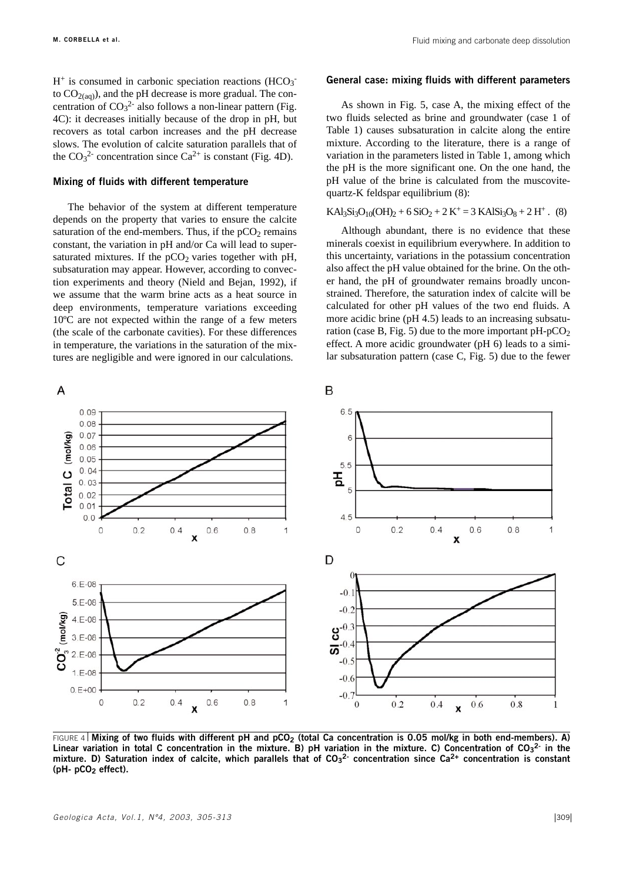$H^+$  is consumed in carbonic speciation reactions (HCO<sub>3</sub><sup>-</sup> to  $CO<sub>2(aq)</sub>$ ), and the pH decrease is more gradual. The concentration of  $CO<sub>3</sub><sup>2</sup>$  also follows a non-linear pattern (Fig. 4C): it decreases initially because of the drop in pH, but recovers as total carbon increases and the pH decrease slows. The evolution of calcite saturation parallels that of the  $CO_3^2$  concentration since  $Ca^{2+}$  is constant (Fig. 4D).

## **Mixing of fluids with different temperature**

The behavior of the system at different temperature depends on the property that varies to ensure the calcite saturation of the end-members. Thus, if the  $pCO<sub>2</sub>$  remains constant, the variation in pH and/or Ca will lead to supersaturated mixtures. If the  $pCO<sub>2</sub>$  varies together with pH, subsaturation may appear. However, according to convection experiments and theory (Nield and Bejan, 1992), if we assume that the warm brine acts as a heat source in deep environments, temperature variations exceeding 10ºC are not expected within the range of a few meters (the scale of the carbonate cavities). For these differences in temperature, the variations in the saturation of the mixtures are negligible and were ignored in our calculations.

#### **General case: mixing fluids with different parameters**

As shown in Fig. 5, case A, the mixing effect of the two fluids selected as brine and groundwater (case 1 of Table 1) causes subsaturation in calcite along the entire mixture. According to the literature, there is a range of variation in the parameters listed in Table 1, among which the pH is the more significant one. On the one hand, the pH value of the brine is calculated from the muscovitequartz-K feldspar equilibrium (8):

## $KAl<sub>3</sub>Si<sub>3</sub>O<sub>10</sub>(OH)<sub>2</sub> + 6 SiO<sub>2</sub> + 2 K<sup>+</sup> = 3 KAlSi<sub>3</sub>O<sub>8</sub> + 2 H<sup>+</sup>$ . (8)

Although abundant, there is no evidence that these minerals coexist in equilibrium everywhere. In addition to this uncertainty, variations in the potassium concentration also affect the pH value obtained for the brine. On the other hand, the pH of groundwater remains broadly unconstrained. Therefore, the saturation index of calcite will be calculated for other pH values of the two end fluids. A more acidic brine (pH 4.5) leads to an increasing subsaturation (case B, Fig. 5) due to the more important  $pH-pCO<sub>2</sub>$ effect. A more acidic groundwater (pH 6) leads to a similar subsaturation pattern (case C, Fig. 5) due to the fewer



FIGURE 4 | Mixing of two fluids with different pH and pCO<sub>2</sub> (total Ca concentration is 0.05 mol/kg in both end-members). A) Linear variation in total C concentration in the mixture. B) pH variation in the mixture. C) Concentration of CO<sub>3</sub><sup>2</sup> in the mixture. D) Saturation index of calcite, which parallels that of CO<sub>3</sub><sup>2</sup> concentration since Ca<sup>2+</sup> concentration is constant **(pH- pCO2 effect).**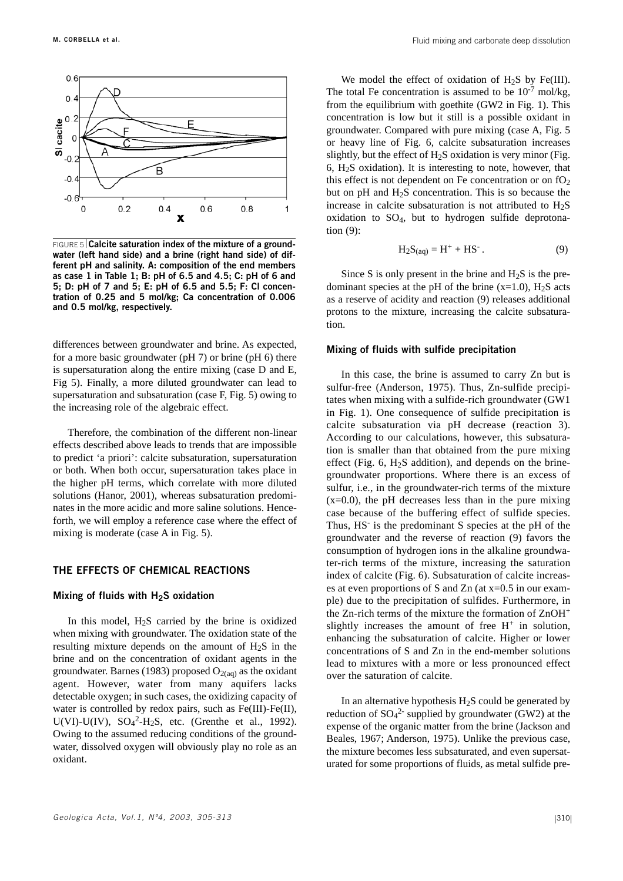

**FIGURE 5 Calcite saturation index of the mixture of a groundwater (left hand side) and a brine (right hand side) of different pH and salinity. A: composition of the end members as case 1 in Table 1; B: pH of 6.5 and 4.5; C: pH of 6 and 5; D: pH of 7 and 5; E: pH of 6.5 and 5.5; F: Cl concentration of 0.25 and 5 mol/kg; Ca concentration of 0.006 and 0.5 mol/kg, respectively.** 

differences between groundwater and brine. As expected, for a more basic groundwater (pH 7) or brine (pH 6) there is supersaturation along the entire mixing (case D and E, Fig 5). Finally, a more diluted groundwater can lead to supersaturation and subsaturation (case F, Fig. 5) owing to the increasing role of the algebraic effect.

Therefore, the combination of the different non-linear effects described above leads to trends that are impossible to predict 'a priori': calcite subsaturation, supersaturation or both. When both occur, supersaturation takes place in the higher pH terms, which correlate with more diluted solutions (Hanor, 2001), whereas subsaturation predominates in the more acidic and more saline solutions. Henceforth, we will employ a reference case where the effect of mixing is moderate (case A in Fig. 5).

## **THE EFFECTS OF CHEMICAL REACTIONS**

#### **Mixing of fluids with H2S oxidation**

In this model,  $H_2S$  carried by the brine is oxidized when mixing with groundwater. The oxidation state of the resulting mixture depends on the amount of  $H_2S$  in the brine and on the concentration of oxidant agents in the groundwater. Barnes (1983) proposed  $O_{2(aq)}$  as the oxidant agent. However, water from many aquifers lacks detectable oxygen; in such cases, the oxidizing capacity of water is controlled by redox pairs, such as Fe(III)-Fe(II),  $U(VI)$ - $U(IV)$ ,  $SO_4^2$ - $H_2S$ , etc. (Grenthe et al., 1992). Owing to the assumed reducing conditions of the groundwater, dissolved oxygen will obviously play no role as an oxidant.

We model the effect of oxidation of  $H_2S$  by Fe(III). The total Fe concentration is assumed to be  $10^{-7}$  mol/kg, from the equilibrium with goethite (GW2 in Fig. 1). This concentration is low but it still is a possible oxidant in groundwater. Compared with pure mixing (case A, Fig. 5 or heavy line of Fig. 6, calcite subsaturation increases slightly, but the effect of  $H_2S$  oxidation is very minor (Fig. 6,  $H<sub>2</sub>S$  oxidation). It is interesting to note, however, that this effect is not dependent on Fe concentration or on  $fO_2$ but on pH and H2S concentration. This is so because the increase in calcite subsaturation is not attributed to  $H_2S$ oxidation to SO4, but to hydrogen sulfide deprotonation (9):

$$
H_2S_{(aq)} = H^+ + HS^-. \tag{9}
$$

Since S is only present in the brine and  $H_2S$  is the predominant species at the pH of the brine  $(x=1.0)$ , H<sub>2</sub>S acts as a reserve of acidity and reaction (9) releases additional protons to the mixture, increasing the calcite subsaturation.

## **Mixing of fluids with sulfide precipitation**

In this case, the brine is assumed to carry Zn but is sulfur-free (Anderson, 1975). Thus, Zn-sulfide precipitates when mixing with a sulfide-rich groundwater (GW1 in Fig. 1). One consequence of sulfide precipitation is calcite subsaturation via pH decrease (reaction 3). According to our calculations, however, this subsaturation is smaller than that obtained from the pure mixing effect (Fig.  $6$ , H<sub>2</sub>S addition), and depends on the brinegroundwater proportions. Where there is an excess of sulfur, i.e., in the groundwater-rich terms of the mixture  $(x=0.0)$ , the pH decreases less than in the pure mixing case because of the buffering effect of sulfide species. Thus, HS- is the predominant S species at the pH of the groundwater and the reverse of reaction (9) favors the consumption of hydrogen ions in the alkaline groundwater-rich terms of the mixture, increasing the saturation index of calcite (Fig. 6). Subsaturation of calcite increases at even proportions of S and Zn (at x=0.5 in our example) due to the precipitation of sulfides. Furthermore, in the Zn-rich terms of the mixture the formation of ZnOH<sup>+</sup> slightly increases the amount of free  $H^+$  in solution, enhancing the subsaturation of calcite. Higher or lower concentrations of S and Zn in the end-member solutions lead to mixtures with a more or less pronounced effect over the saturation of calcite.

In an alternative hypothesis  $H_2S$  could be generated by reduction of  $SO_4^2$  supplied by groundwater (GW2) at the expense of the organic matter from the brine (Jackson and Beales, 1967; Anderson, 1975). Unlike the previous case, the mixture becomes less subsaturated, and even supersaturated for some proportions of fluids, as metal sulfide pre-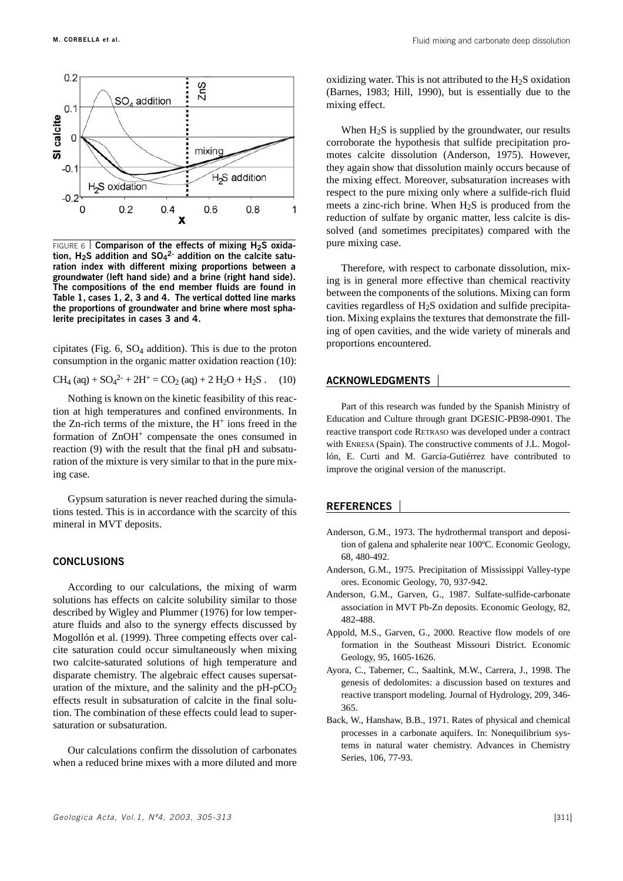

FIGURE 6 **Comparison of the effects of mixing H2S oxidation, H2S addition and SO4 2- addition on the calcite saturation index with different mixing proportions between a groundwater (left hand side) and a brine (right hand side). The compositions of the end member fluids are found in Table 1, cases 1, 2, 3 and 4. The vertical dotted line marks the proportions of groundwater and brine where most sphalerite precipitates in cases 3 and 4.** 

cipitates (Fig.  $6$ ,  $SO_4$  addition). This is due to the proton consumption in the organic matter oxidation reaction (10):

$$
CH_4 (aq) + SO_4^{2-} + 2H^+ = CO_2 (aq) + 2 H_2O + H_2S . (10)
$$

Nothing is known on the kinetic feasibility of this reaction at high temperatures and confined environments. In the Zn-rich terms of the mixture, the  $H^+$  ions freed in the formation of  $ZnOH<sup>+</sup>$  compensate the ones consumed in reaction (9) with the result that the final pH and subsaturation of the mixture is very similar to that in the pure mixing case.

Gypsum saturation is never reached during the simulations tested. This is in accordance with the scarcity of this mineral in MVT deposits.

## **CONCLUSIONS**

According to our calculations, the mixing of warm solutions has effects on calcite solubility similar to those described by Wigley and Plummer (1976) for low temperature fluids and also to the synergy effects discussed by Mogollón et al. (1999). Three competing effects over calcite saturation could occur simultaneously when mixing two calcite-saturated solutions of high temperature and disparate chemistry. The algebraic effect causes supersaturation of the mixture, and the salinity and the  $pH-pCO<sub>2</sub>$ effects result in subsaturation of calcite in the final solution. The combination of these effects could lead to supersaturation or subsaturation.

Our calculations confirm the dissolution of carbonates when a reduced brine mixes with a more diluted and more oxidizing water. This is not attributed to the  $H_2S$  oxidation (Barnes, 1983; Hill, 1990), but is essentially due to the mixing effect.

When  $H_2S$  is supplied by the groundwater, our results corroborate the hypothesis that sulfide precipitation promotes calcite dissolution (Anderson, 1975). However, they again show that dissolution mainly occurs because of the mixing effect. Moreover, subsaturation increases with respect to the pure mixing only where a sulfide-rich fluid meets a zinc-rich brine. When  $H_2S$  is produced from the reduction of sulfate by organic matter, less calcite is dissolved (and sometimes precipitates) compared with the pure mixing case.

Therefore, with respect to carbonate dissolution, mixing is in general more effective than chemical reactivity between the components of the solutions. Mixing can form cavities regardless of H2S oxidation and sulfide precipitation. Mixing explains the textures that demonstrate the filling of open cavities, and the wide variety of minerals and proportions encountered.

#### **ACKNOWLEDGMENTS**

Part of this research was funded by the Spanish Ministry of Education and Culture through grant DGESIC-PB98-0901. The reactive transport code RETRASO was developed under a contract with ENRESA (Spain). The constructive comments of J.L. Mogollón, E. Curti and M. García-Gutiérrez have contributed to improve the original version of the manuscript.

#### **REFERENCES**

- Anderson, G.M., 1973. The hydrothermal transport and deposition of galena and sphalerite near 100ºC. Economic Geology, 68, 480-492.
- Anderson, G.M., 1975. Precipitation of Mississippi Valley-type ores. Economic Geology, 70, 937-942.
- Anderson, G.M., Garven, G., 1987. Sulfate-sulfide-carbonate association in MVT Pb-Zn deposits. Economic Geology, 82, 482-488.
- Appold, M.S., Garven, G., 2000. Reactive flow models of ore formation in the Southeast Missouri District. Economic Geology, 95, 1605-1626.
- Ayora, C., Taberner, C., Saaltink, M.W., Carrera, J., 1998. The genesis of dedolomites: a discussion based on textures and reactive transport modeling. Journal of Hydrology, 209, 346- 365.
- Back, W., Hanshaw, B.B., 1971. Rates of physical and chemical processes in a carbonate aquifers. In: Nonequilibrium systems in natural water chemistry. Advances in Chemistry Series, 106, 77-93.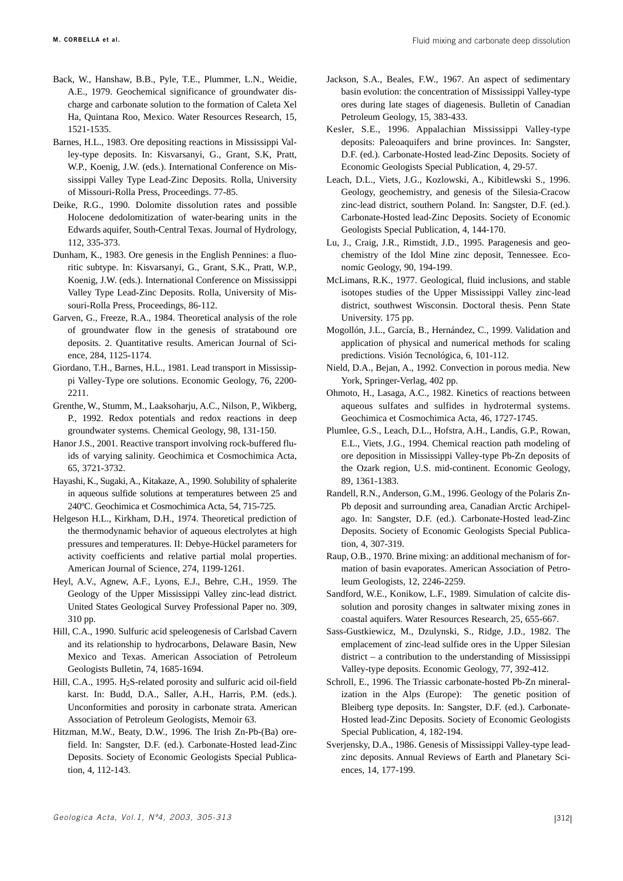- Back, W., Hanshaw, B.B., Pyle, T.E., Plummer, L.N., Weidie, A.E., 1979. Geochemical significance of groundwater discharge and carbonate solution to the formation of Caleta Xel Ha, Quintana Roo, Mexico. Water Resources Research, 15, 1521-1535.
- Barnes, H.L., 1983. Ore depositing reactions in Mississippi Valley-type deposits. In: Kisvarsanyi, G., Grant, S.K, Pratt, W.P., Koenig, J.W. (eds.). International Conference on Mississippi Valley Type Lead-Zinc Deposits. Rolla, University of Missouri-Rolla Press, Proceedings. 77-85.
- Deike, R.G., 1990. Dolomite dissolution rates and possible Holocene dedolomitization of water-bearing units in the Edwards aquifer, South-Central Texas. Journal of Hydrology, 112, 335-373.
- Dunham, K., 1983. Ore genesis in the English Pennines: a fluoritic subtype. In: Kisvarsanyi, G., Grant, S.K., Pratt, W.P., Koenig, J.W. (eds.). International Conference on Mississippi Valley Type Lead-Zinc Deposits. Rolla, University of Missouri-Rolla Press, Proceedings, 86-112.
- Garven, G., Freeze, R.A., 1984. Theoretical analysis of the role of groundwater flow in the genesis of stratabound ore deposits. 2. Quantitative results. American Journal of Science, 284, 1125-1174.
- Giordano, T.H., Barnes, H.L., 1981. Lead transport in Mississippi Valley-Type ore solutions. Economic Geology, 76, 2200- 2211.
- Grenthe, W., Stumm, M., Laaksoharju, A.C., Nilson, P., Wikberg, P., 1992. Redox potentials and redox reactions in deep groundwater systems. Chemical Geology, 98, 131-150.
- Hanor J.S., 2001. Reactive transport involving rock-buffered fluids of varying salinity. Geochimica et Cosmochimica Acta, 65, 3721-3732.
- Hayashi, K., Sugaki, A., Kitakaze, A., 1990. Solubility of sphalerite in aqueous sulfide solutions at temperatures between 25 and 240ºC. Geochimica et Cosmochimica Acta, 54, 715-725.
- Helgeson H.L., Kirkham, D.H., 1974. Theoretical prediction of the thermodynamic behavior of aqueous electrolytes at high pressures and temperatures. II: Debye-Hückel parameters for activity coefficients and relative partial molal properties. American Journal of Science, 274, 1199-1261.
- Heyl, A.V., Agnew, A.F., Lyons, E.J., Behre, C.H., 1959. The Geology of the Upper Mississippi Valley zinc-lead district. United States Geological Survey Professional Paper no. 309, 310 pp.
- Hill, C.A., 1990. Sulfuric acid speleogenesis of Carlsbad Cavern and its relationship to hydrocarbons, Delaware Basin, New Mexico and Texas. American Association of Petroleum Geologists Bulletin, 74, 1685-1694.
- Hill, C.A., 1995. H<sub>2</sub>S-related porosity and sulfuric acid oil-field karst. In: Budd, D.A., Saller, A.H., Harris, P.M. (eds.). Unconformities and porosity in carbonate strata. American Association of Petroleum Geologists, Memoir 63.
- Hitzman, M.W., Beaty, D.W., 1996. The Irish Zn-Pb-(Ba) orefield. In: Sangster, D.F. (ed.). Carbonate-Hosted lead-Zinc Deposits. Society of Economic Geologists Special Publication, 4, 112-143.
- Jackson, S.A., Beales, F.W., 1967. An aspect of sedimentary basin evolution: the concentration of Mississippi Valley-type ores during late stages of diagenesis. Bulletin of Canadian Petroleum Geology, 15, 383-433.
- Kesler, S.E., 1996. Appalachian Mississippi Valley-type deposits: Paleoaquifers and brine provinces. In: Sangster, D.F. (ed.). Carbonate-Hosted lead-Zinc Deposits. Society of Economic Geologists Special Publication, 4, 29-57.
- Leach, D.L., Viets, J.G., Kozlowski, A., Kibitlewski S., 1996. Geology, geochemistry, and genesis of the Silesia-Cracow zinc-lead district, southern Poland. In: Sangster, D.F. (ed.). Carbonate-Hosted lead-Zinc Deposits. Society of Economic Geologists Special Publication, 4, 144-170.
- Lu, J., Craig, J.R., Rimstidt, J.D., 1995. Paragenesis and geochemistry of the Idol Mine zinc deposit, Tennessee. Economic Geology, 90, 194-199.
- McLimans, R.K., 1977. Geological, fluid inclusions, and stable isotopes studies of the Upper Mississippi Valley zinc-lead district, southwest Wisconsin. Doctoral thesis. Penn State University. 175 pp.
- Mogollón, J.L., García, B., Hernández, C., 1999. Validation and application of physical and numerical methods for scaling predictions. Visión Tecnológica, 6, 101-112.
- Nield, D.A., Bejan, A., 1992. Convection in porous media. New York, Springer-Verlag, 402 pp.
- Ohmoto, H., Lasaga, A.C., 1982. Kinetics of reactions between aqueous sulfates and sulfides in hydrotermal systems. Geochimica et Cosmochimica Acta, 46, 1727-1745.
- Plumlee, G.S., Leach, D.L., Hofstra, A.H., Landis, G.P., Rowan, E.L., Viets, J.G., 1994. Chemical reaction path modeling of ore deposition in Mississippi Valley-type Pb-Zn deposits of the Ozark region, U.S. mid-continent. Economic Geology, 89, 1361-1383.
- Randell, R.N., Anderson, G.M., 1996. Geology of the Polaris Zn-Pb deposit and surrounding area, Canadian Arctic Archipelago. In: Sangster, D.F. (ed.). Carbonate-Hosted lead-Zinc Deposits. Society of Economic Geologists Special Publication, 4, 307-319.
- Raup, O.B., 1970. Brine mixing: an additional mechanism of formation of basin evaporates. American Association of Petroleum Geologists, 12, 2246-2259.
- Sandford, W.E., Konikow, L.F., 1989. Simulation of calcite dissolution and porosity changes in saltwater mixing zones in coastal aquifers. Water Resources Research, 25, 655-667.
- Sass-Gustkiewicz, M., Dzulynski, S., Ridge, J.D., 1982. The emplacement of zinc-lead sulfide ores in the Upper Silesian district – a contribution to the understanding of Mississippi Valley-type deposits. Economic Geology, 77, 392-412.
- Schroll, E., 1996. The Triassic carbonate-hosted Pb-Zn mineralization in the Alps (Europe): The genetic position of Bleiberg type deposits. In: Sangster, D.F. (ed.). Carbonate-Hosted lead-Zinc Deposits. Society of Economic Geologists Special Publication, 4, 182-194.
- Sverjensky, D.A., 1986. Genesis of Mississippi Valley-type leadzinc deposits. Annual Reviews of Earth and Planetary Sciences, 14, 177-199.